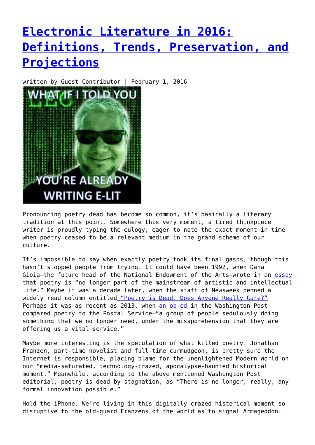## **[Electronic Literature in 2016:](https://entropymag.org/electronic-literature-in-2016-definitions-trends-preservation-and-projections/) [Definitions, Trends, Preservation, and](https://entropymag.org/electronic-literature-in-2016-definitions-trends-preservation-and-projections/) [Projections](https://entropymag.org/electronic-literature-in-2016-definitions-trends-preservation-and-projections/)**

written by Guest Contributor | February 1, 2016



Pronouncing poetry dead has become so common, it's basically a literary tradition at this point. Somewhere this very moment, a tired thinkpiece writer is proudly typing the eulogy, eager to note the exact moment in time when poetry ceased to be a relevant medium in the grand scheme of our culture.

It's impossible to say when exactly poetry took its final gasps, though this hasn't stopped people from trying. It could have been 1992, when Dana Gioia—the future head of the National Endowment of the Arts—wrote in an [essay](http://www.danagioia.net/essays/ecpm.htm) that poetry is "no longer part of the mainstream of artistic and intellectual life." Maybe it was a decade later, when the staff of Newsweek penned a widely read column entitle[d "Poetry is Dead. Does Anyone Really Care?"](http://www.newsweek.com/poetry-dead-does-anybody-really-care-137385) Perhaps it was as recent as 2013, whe[n an op-ed](http://www.washingtonpost.com/blogs/compost/wp/2013/01/22/is-poetry-dead/) in the Washington Post compared poetry to the Postal Service—"a group of people sedulously doing something that we no longer need, under the misapprehension that they are offering us a vital service."

Maybe more interesting is the speculation of what killed poetry. Jonathan Franzen, part-time novelist and full-time curmudgeon, is pretty sure the Internet is responsible, placing blame for the unenlightened Modern World on our "media-saturated, technology-crazed, apocalypse-haunted historical moment." Meanwhile, according to the above mentioned Washington Post editorial, poetry is dead by stagnation, as "There is no longer, really, any formal innovation possible."

Hold the iPhone. We're living in this digitally-crazed historical moment so disruptive to the old-guard Franzens of the world as to signal Armageddon.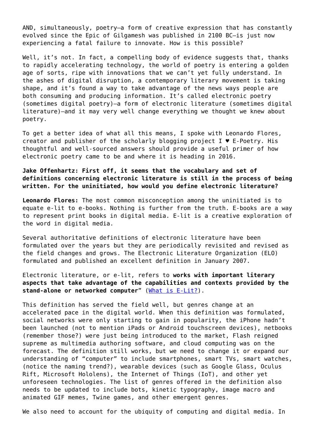AND, simultaneously, poetry—a form of creative expression that has constantly evolved since the Epic of Gilgamesh was published in 2100 BC—is just now experiencing a fatal failure to innovate. How is this possible?

Well, it's not. In fact, a compelling body of evidence suggests that, thanks to rapidly accelerating technology, the world of poetry is entering a golden age of sorts, ripe with innovations that we can't yet fully understand. In the ashes of digital disruption, a contemporary literary movement is taking shape, and it's found a way to take advantage of the news ways people are both consuming and producing information. It's called electronic poetry (sometimes digital poetry)—a form of electronic literature (sometimes digital literature)—and it may very well change everything we thought we knew about poetry.

To get a better idea of what all this means, I spoke with Leonardo Flores, creator and publisher of the scholarly blogging project  $I \bullet E$ -Poetry. His thoughtful and well-sourced answers should provide a useful primer of how electronic poetry came to be and where it is heading in 2016.

**Jake Offenhartz: First off, it seems that the vocabulary and set of definitions concerning electronic literature is still in the process of being written. For the uninitiated, how would you define electronic literature?**

**Leonardo Flores:** The most common misconception among the uninitiated is to equate e-lit to e-books. Nothing is further from the truth. E-books are a way to represent print books in digital media. E-lit is a creative exploration of the word in digital media.

Several authoritative definitions of electronic literature have been formulated over the years but they are periodically revisited and revised as the field changes and grows. The Electronic Literature Organization (ELO) formulated and published an excellent definition in January 2007.

Electronic literature, or e-lit, refers to **works with important literary aspects that take advantage of the capabilities and contexts provided by the stand-alone or networked computer**" ([What is E-Lit?\)](http://eliterature.org/what-is-e-lit/).

This definition has served the field well, but genres change at an accelerated pace in the digital world. When this definition was formulated, social networks were only starting to gain in popularity, the iPhone hadn't been launched (not to mention iPads or Android touchscreen devices), netbooks (remember those?) were just being introduced to the market, Flash reigned supreme as multimedia authoring software, and cloud computing was on the forecast. The definition still works, but we need to change it or expand our understanding of "computer" to include smartphones, smart TVs, smart watches, (notice the naming trend?), wearable devices (such as Google Glass, Oculus Rift, Microsoft Hololens), the Internet of Things (IoT), and other yet unforeseen technologies. The list of genres offered in the definition also needs to be updated to include bots, kinetic typography, image macro and animated GIF memes, Twine games, and other emergent genres.

We also need to account for the ubiquity of computing and digital media. In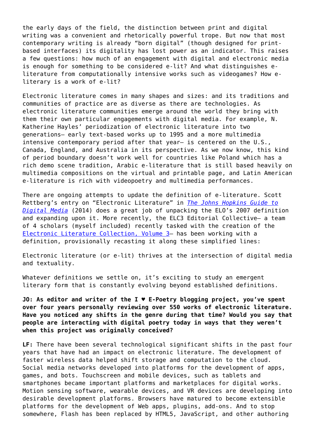the early days of the field, the distinction between print and digital writing was a convenient and rhetorically powerful trope. But now that most contemporary writing is already "born digital" (though designed for printbased interfaces) its digitality has lost power as an indicator. This raises a few questions: how much of an engagement with digital and electronic media is enough for something to be considered e-lit? And what distinguishes eliterature from computationally intensive works such as videogames? How eliterary is a work of e-lit?

Electronic literature comes in many shapes and sizes: and its traditions and communities of practice are as diverse as there are technologies. As electronic literature communities emerge around the world they bring with them their own particular engagements with digital media. For example, N. Katherine Hayles' periodization of electronic literature into two generations– early text-based works up to 1995 and a more multimedia intensive contemporary period after that year– is centered on the U.S., Canada, England, and Australia in its perspective. As we now know, this kind of period boundary doesn't work well for countries like Poland which has a rich demo scene tradition, Arabic e-literature that is still based heavily on multimedia compositions on the virtual and printable page, and Latin American e-literature is rich with videopoetry and multimedia performances.

There are ongoing attempts to update the definition of e-literature. Scott Rettberg's entry on "Electronic Literature" in *[The Johns Hopkins Guide to](https://jhupbooks.press.jhu.edu/content/johns-hopkins-guide-digital-media) [Digital Media](https://jhupbooks.press.jhu.edu/content/johns-hopkins-guide-digital-media)* (2014) does a great job of unpacking the ELO's 2007 definition and expanding upon it. More recently, the ELC3 Editorial Collective– a team of 4 scholars (myself included) recently tasked with the creation of the [Electronic Literature Collection, Volume 3—](http://eliterature.org/elc3/) has been working with a definition, provisionally recasting it along these simplified lines:

Electronic literature (or e-lit) thrives at the intersection of digital media and textuality.

Whatever definitions we settle on, it's exciting to study an emergent literary form that is constantly evolving beyond established definitions.

**JO: As editor and writer of the I ♥ E-Poetry blogging project, you've spent over four years personally reviewing over 550 works of electronic literature. Have you noticed any shifts in the genre during that time? Would you say that people are interacting with digital poetry today in ways that they weren't when this project was originally conceived?**

**LF:** There have been several technological significant shifts in the past four years that have had an impact on electronic literature. The development of faster wireless data helped shift storage and computation to the cloud. Social media networks developed into platforms for the development of apps, games, and bots. Touchscreen and mobile devices, such as tablets and smartphones became important platforms and marketplaces for digital works. Motion sensing software, wearable devices, and VR devices are developing into desirable development platforms. Browsers have matured to become extensible platforms for the development of Web apps, plugins, add-ons. And to stop somewhere, Flash has been replaced by HTML5, JavaScript, and other authoring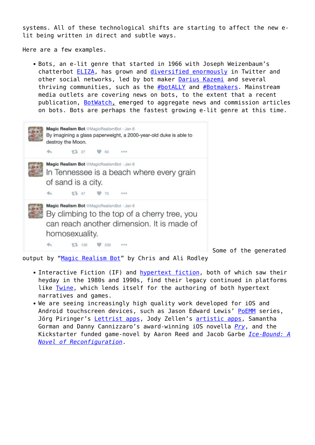systems. All of these technological shifts are starting to affect the new elit being written in direct and subtle ways.

Here are a few examples.

Bots, an e-lit genre that started in 1966 with Joseph Weizenbaum's chatterbot **ELIZA**, has grown and *diversified enormously* in Twitter and other social networks, led by bot maker [Darius Kazemi](http://tinysubversions.com/) and several thriving communities, such as the [#botALLY](https://twitter.com/hashtag/botALLY?src=hash) and [#Botmakers.](https://botmakers.org/) Mainstream media outlets are covering news on bots, to the extent that a recent publication, [BotWatch,](http://bot.watch/) emerged to aggregate news and commission articles on bots. Bots are perhaps the fastest growing e-lit genre at this time.



Some of the generated

output by ["Magic Realism Bot"](https://twitter.com/MagicRealismBot) by Chris and Ali Rodley

- Interactive Fiction (IF) and [hypertext fiction](http://en.wikipedia.org/wiki/Hypertext_fiction), both of which saw their heyday in the 1980s and 1990s, find their legacy continued in platforms like [Twine,](http://twinery.org/) which lends itself for the authoring of both hypertext narratives and games.
- We are seeing increasingly high quality work developed for iOS and Android touchscreen devices, such as Jason Edward Lewis' [PoEMM](http://www.poemm.net/) series, Jörg Piringer's [Lettrist apps,](http://apps.piringer.net/) Jody Zellen's [artistic apps,](http://www.jodyzellen.com/apps/) Samantha Gorman and Danny Cannizzaro's award-winning iOS novella *[Pry](http://prynovella.com/)*, and the Kickstarter funded game-novel by Aaron Reed and Jacob Garbe *[Ice-Bound: A](http://www.ice-bound.com/) [Novel of Reconfiguration](http://www.ice-bound.com/)*.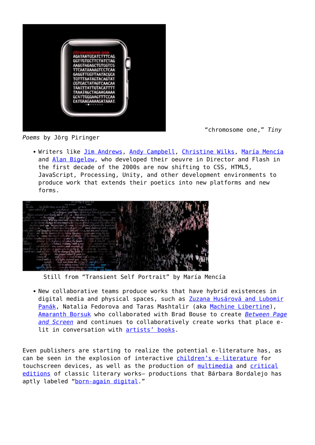

"chromosome one," *Tiny*

*Poems* by Jörg Piringer

• Writers like [Jim Andrews](http://vispo.com/), [Andy Campbell,](http://dreamingmethods.com/) [Christine Wilks](http://www.crissxross.net/), [María Mencía](http://www.mariamencia.com/) and [Alan Bigelow](http://webyarns.com/), who developed their oeuvre in Director and Flash in the first decade of the 2000s are now shifting to CSS, HTML5, JavaScript, Processing, Unity, and other development environments to produce work that extends their poetics into new platforms and new forms.



Still from "Transient Self Portrait" by María Mencía

New collaborative teams produce works that have hybrid existences in digital media and physical spaces, such as [Zuzana Husárová and Lubomir](http://delezu.net/) [Panák,](http://delezu.net/) Natalia Fedorova and Taras Mashtalir (aka [Machine Libertine\)](http://www.machinelibertine.me/), [Amaranth Borsuk](http://www.amaranthborsuk.com/) who collaborated with Brad Bouse to create *[Between Page](http://www.betweenpageandscreen.com/) [and Screen](http://www.betweenpageandscreen.com/)* and continues to collaboratively create works that place elit in conversation with [artists' books.](http://en.wikipedia.org/wiki/Artist%27s_book)

Even publishers are starting to realize the potential e-literature has, as can be seen in the explosion of interactive [children's e-literature](http://iloveepoetry.com/?p=11228) for touchscreen devices, as well as the production of [multimedia](http://ipoecollection.com/) and [critical](http://thewasteland.touchpress.com/) [editions](http://thewasteland.touchpress.com/) of classic literary works– productions that Bárbara Bordalejo has aptly labeled "[born-again digital](http://iloveepoetry.com/?cat=623)."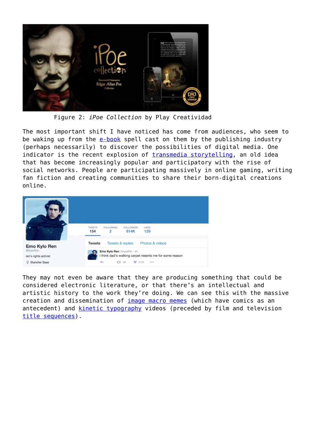

Figure 2: *iPoe Collection* by Play Creatividad

The most important shift I have noticed has come from audiences, who seem to be waking up from the [e-book](http://en.wikipedia.org/wiki/E-book) spell cast on them by the publishing industry (perhaps necessarily) to discover the possibilities of digital media. One indicator is the recent explosion of [transmedia storytelling,](http://en.wikipedia.org/wiki/Transmedia_storytelling) an old idea that has become increasingly popular and participatory with the rise of social networks. People are participating massively in online gaming, writing fan fiction and creating communities to share their born-digital creations online.



They may not even be aware that they are producing something that could be considered electronic literature, or that there's an intellectual and artistic history to the work they're doing. We can see this with the massive creation and dissemination of *image macro memes* (which have comics as an antecedent) and **kinetic typography** videos (preceded by film and television [title sequences\)](http://www.artofthetitle.com).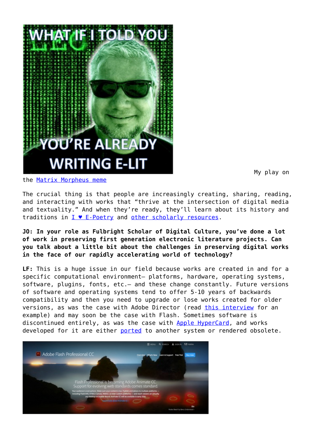

My play on

the [Matrix Morpheus meme](http://knowyourmeme.com/memes/matrix-morpheus)

The crucial thing is that people are increasingly creating, sharing, reading, and interacting with works that "thrive at the intersection of digital media and textuality." And when they're ready, they'll learn about its history and traditions in [I ♥ E-Poetry](http://iloveepoetry.com/) and [other scholarly resources](http://eliterature.org/cell/).

## **JO: In your role as Fulbright Scholar of Digital Culture, you've done a lot of work in preserving first generation electronic literature projects. Can you talk about a little bit about the challenges in preserving digital works in the face of our rapidly accelerating world of technology?**

**LF:** This is a huge issue in our field because works are created in and for a specific computational environment– platforms, hardware, operating systems, software, plugins, fonts, etc.– and these change constantly. Future versions of software and operating systems tend to offer 5-10 years of backwards compatibility and then you need to upgrade or lose works created for older versions, as was the case with Adobe Director (read [this interview](http://blogs.loc.gov/digitalpreservation/2013/03/quest-for-the-critical-e-dition-an-interview-with-leonardo-flores/) for an example) and may soon be the case with Flash. Sometimes software is discontinued entirely, as was the case with [Apple HyperCard](http://en.wikipedia.org/wiki/HyperCard), and works developed for it are either [ported](http://en.wikipedia.org/wiki/Porting) to another system or rendered obsolete.

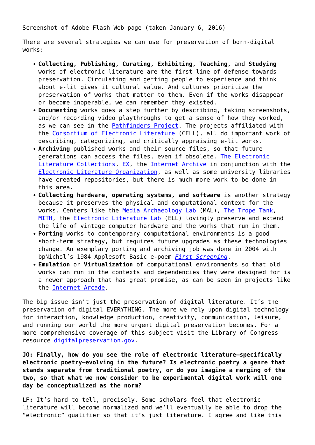Screenshot of Adobe Flash Web page (taken January 6, 2016)

There are several strategies we can use for preservation of born-digital works:

- **Collecting, Publishing, Curating, Exhibiting, Teaching,** and **Studying** works of electronic literature are the first line of defense towards preservation. Circulating and getting people to experience and think about e-lit gives it cultural value. And cultures prioritize the preservation of works that matter to them. Even if the works disappear or become inoperable, we can remember they existed.
- **Documenting** works goes a step further by describing, taking screenshots, and/or recording video playthroughs to get a sense of how they worked, as we can see in the [Pathfinders Project](http://pathfindersproject.com/). The projects affiliated with the [Consortium of Electronic Literature](http://eliterature.org/cell/) (CELL), all do important work of describing, categorizing, and critically appraising e-lit works.
- **Archiving** published works and their source files, so that future generations can access the files, even if obsolete. [The Electronic](http://collection.eliterature.org) [Literature Collections](http://collection.eliterature.org), [EX,](http://po-ex.net/) the [Internet Archive](https://archive-it.org/organizations/165) in conjunction with the [Electronic Literature Organization,](http://eliterature.org/) as well as some university libraries have created repositories, but there is much more work to be done in this area.
- **Collecting hardware, operating systems, and software** is another strategy because it preserves the physical and computational context for the works. Centers like the [Media Archaeology Lab](http://mediaarchaeologylab.com/) (MAL), [The Trope Tank](http://nickm.com/trope_tank/), [MITH](http://mith.umd.edu/), the [Electronic Literature Lab](http://dtc-wsuv.org/wp/ell/) (ELL) lovingly preserve and extend the life of vintage computer hardware and the works that run in them.
- **Porting** works to contemporary computational environments is a good short-term strategy, but requires future upgrades as these technologies change. An exemplary porting and archiving job was done in 2004 with bpNichol's 1984 Applesoft Basic e-poem *[First Screening](http://vispo.com/bp/)*.
- **Emulation** or **Virtualization** of computational environments so that old works can run in the contexts and dependencies they were designed for is a newer approach that has great promise, as can be seen in projects like the [Internet Arcade](https://archive.org/details/internetarcade).

The big issue isn't just the preservation of digital literature. It's the preservation of digital EVERYTHING. The more we rely upon digital technology for interaction, knowledge production, creativity, communication, leisure, and running our world the more urgent digital preservation becomes. For a more comprehensive coverage of this subject visit the Library of Congress resource [digitalpreservation.gov](http://www.digitalpreservation.gov/).

**JO: Finally, how do you see the role of electronic literature–specifically electronic poetry–evolving in the future? Is electronic poetry a genre that stands separate from traditional poetry, or do you imagine a merging of the two, so that what we now consider to be experimental digital work will one day be conceptualized as the norm?**

**LF:** It's hard to tell, precisely. Some scholars feel that electronic literature will become normalized and we'll eventually be able to drop the "electronic" qualifier so that it's just literature. I agree and like this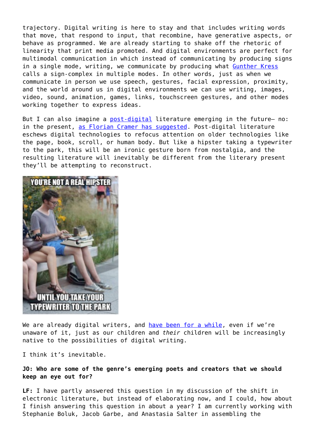trajectory. Digital writing is here to stay and that includes writing words that move, that respond to input, that recombine, have generative aspects, or behave as programmed. We are already starting to shake off the rhetoric of linearity that print media promoted. And digital environments are perfect for multimodal communication in which instead of communicating by producing signs in a single mode, writing, we communicate by producing what [Gunther Kress](http://scholar.google.com/scholar?cites=16655267088224796309) calls a sign-complex in multiple modes. In other words, just as when we communicate in person we use speech, gestures, facial expression, proximity, and the world around us in digital environments we can use writing, images, video, sound, animation, games, links, touchscreen gestures, and other modes working together to express ideas.

But I can also imagine a [post-digital](http://www.aprja.net/?p=1318) literature emerging in the future– no: in the present, [as Florian Cramer has suggested.](http://www.aprja.net/?p=1318) Post-digital literature eschews digital technologies to refocus attention on older technologies like the page, book, scroll, or human body. But like a hipster taking a typewriter to the park, this will be an ironic gesture born from nostalgia, and the resulting literature will inevitably be different from the literary present they'll be attempting to reconstruct.



We are already digital writers, and [have been for a while,](http://metalab.harvard.edu/2013/10/track-changes-the-literary-history-of-word-processing-with-matthew-kirschenbaum/) even if we're unaware of it, just as our children and *their* children will be increasingly native to the possibilities of digital writing.

I think it's inevitable.

## **JO: Who are some of the genre's emerging poets and creators that we should keep an eye out for?**

**LF:** I have partly answered this question in my discussion of the shift in electronic literature, but instead of elaborating now, and I could, how about I finish answering this question in about a year? I am currently working with Stephanie Boluk, Jacob Garbe, and Anastasia Salter in assembling the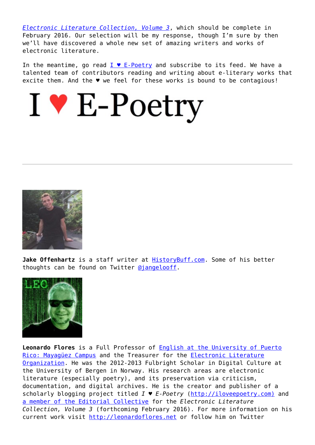*[Electronic Literature Collection, Volume 3](http://eliterature.org/elc3/)*, which should be complete in February 2016. Our selection will be my response, though I'm sure by then we'll have discovered a whole new set of amazing writers and works of electronic literature.

In the meantime, go read  $I \bullet E\text{-Poetry}$  and subscribe to its feed. We have a talented team of contributors reading and writing about e-literary works that excite them. And the ♥ we feel for these works is bound to be contagious!





**Jake Offenhartz** is a staff writer at [HistoryBuff.com.](http://historybuff.com/) Some of his better thoughts can be found on Twitter [@jangelooff.](https://twitter.com/jangelooff)



**Leonardo Flores** is a Full Professor of [English at the University of Puerto](http://www.uprm.edu/english) [Rico: Mayagüez Campus](http://www.uprm.edu/english) and the Treasurer for the **Electronic Literature** [Organization.](http://eliterature.org) He was the 2012-2013 Fulbright Scholar in Digital Culture at the University of Bergen in Norway. His research areas are electronic literature (especially poetry), and its preservation via criticism, documentation, and digital archives. He is the creator and publisher of a scholarly blogging project titled *I ♥ E-Poetry* [\(http://iloveepoetry.com\)](http://iloveepoetry.com) and [a member of the Editorial Collective](http://leonardoflores.net/blog/the-electronic-literature-collection-volume-3/) for the *Electronic Literature Collection, Volume 3* (forthcoming February 2016). For more information on his current work visit<http://leonardoflores.net>or follow him on Twitter